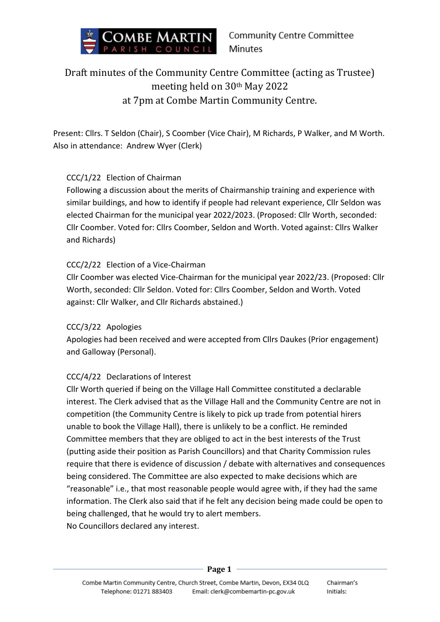

### Draft minutes of the Community Centre Committee (acting as Trustee) meeting held on 30th May 2022 at 7pm at Combe Martin Community Centre.

Present: Cllrs. T Seldon (Chair), S Coomber (Vice Chair), M Richards, P Walker, and M Worth. Also in attendance: Andrew Wyer (Clerk)

#### CCC/1/22 Election of Chairman

Following a discussion about the merits of Chairmanship training and experience with similar buildings, and how to identify if people had relevant experience, Cllr Seldon was elected Chairman for the municipal year 2022/2023. (Proposed: Cllr Worth, seconded: Cllr Coomber. Voted for: Cllrs Coomber, Seldon and Worth. Voted against: Cllrs Walker and Richards)

#### CCC/2/22 Election of a Vice-Chairman

Cllr Coomber was elected Vice-Chairman for the municipal year 2022/23. (Proposed: Cllr Worth, seconded: Cllr Seldon. Voted for: Cllrs Coomber, Seldon and Worth. Voted against: Cllr Walker, and Cllr Richards abstained.)

#### CCC/3/22 Apologies

Apologies had been received and were accepted from Cllrs Daukes (Prior engagement) and Galloway (Personal).

#### CCC/4/22 Declarations of Interest

Cllr Worth queried if being on the Village Hall Committee constituted a declarable interest. The Clerk advised that as the Village Hall and the Community Centre are not in competition (the Community Centre is likely to pick up trade from potential hirers unable to book the Village Hall), there is unlikely to be a conflict. He reminded Committee members that they are obliged to act in the best interests of the Trust (putting aside their position as Parish Councillors) and that Charity Commission rules require that there is evidence of discussion / debate with alternatives and consequences being considered. The Committee are also expected to make decisions which are "reasonable" i.e., that most reasonable people would agree with, if they had the same information. The Clerk also said that if he felt any decision being made could be open to being challenged, that he would try to alert members. No Councillors declared any interest.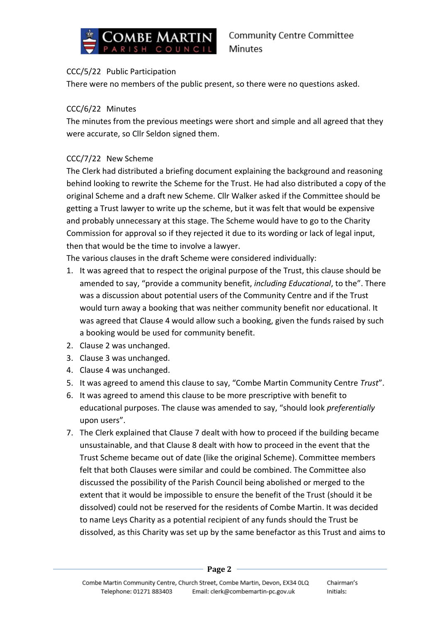

#### CCC/5/22 Public Participation

There were no members of the public present, so there were no questions asked.

#### CCC/6/22 Minutes

The minutes from the previous meetings were short and simple and all agreed that they were accurate, so Cllr Seldon signed them.

#### CCC/7/22 New Scheme

The Clerk had distributed a briefing document explaining the background and reasoning behind looking to rewrite the Scheme for the Trust. He had also distributed a copy of the original Scheme and a draft new Scheme. Cllr Walker asked if the Committee should be getting a Trust lawyer to write up the scheme, but it was felt that would be expensive and probably unnecessary at this stage. The Scheme would have to go to the Charity Commission for approval so if they rejected it due to its wording or lack of legal input, then that would be the time to involve a lawyer.

The various clauses in the draft Scheme were considered individually:

- 1. It was agreed that to respect the original purpose of the Trust, this clause should be amended to say, "provide a community benefit, *including Educational*, to the". There was a discussion about potential users of the Community Centre and if the Trust would turn away a booking that was neither community benefit nor educational. It was agreed that Clause 4 would allow such a booking, given the funds raised by such a booking would be used for community benefit.
- 2. Clause 2 was unchanged.
- 3. Clause 3 was unchanged.
- 4. Clause 4 was unchanged.
- 5. It was agreed to amend this clause to say, "Combe Martin Community Centre *Trust*".
- 6. It was agreed to amend this clause to be more prescriptive with benefit to educational purposes. The clause was amended to say, "should look *preferentially* upon users".
- 7. The Clerk explained that Clause 7 dealt with how to proceed if the building became unsustainable, and that Clause 8 dealt with how to proceed in the event that the Trust Scheme became out of date (like the original Scheme). Committee members felt that both Clauses were similar and could be combined. The Committee also discussed the possibility of the Parish Council being abolished or merged to the extent that it would be impossible to ensure the benefit of the Trust (should it be dissolved) could not be reserved for the residents of Combe Martin. It was decided to name Leys Charity as a potential recipient of any funds should the Trust be dissolved, as this Charity was set up by the same benefactor as this Trust and aims to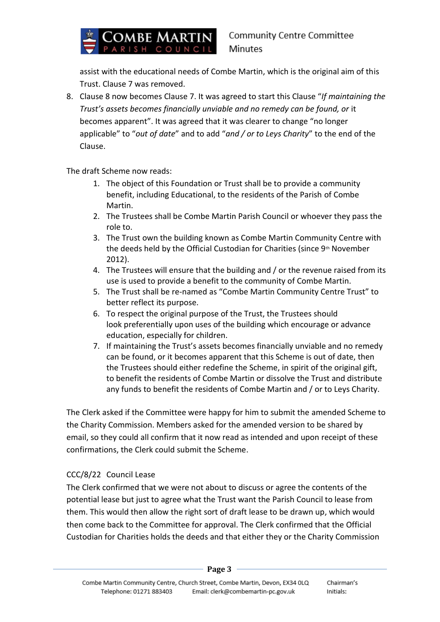# Combe Martin

assist with the educational needs of Combe Martin, which is the original aim of this Trust. Clause 7 was removed.

8. Clause 8 now becomes Clause 7. It was agreed to start this Clause "*If maintaining the Trust's assets becomes financially unviable and no remedy can be found, or* it becomes apparent". It was agreed that it was clearer to change "no longer applicable" to "*out of date*" and to add "*and / or to Leys Charity*" to the end of the Clause.

The draft Scheme now reads:

- 1. The object of this Foundation or Trust shall be to provide a community benefit, including Educational, to the residents of the Parish of Combe Martin.
- 2. The Trustees shall be Combe Martin Parish Council or whoever they pass the role to.
- 3. The Trust own the building known as Combe Martin Community Centre with the deeds held by the Official Custodian for Charities (since 9<sup>th</sup> November 2012).
- 4. The Trustees will ensure that the building and / or the revenue raised from its use is used to provide a benefit to the community of Combe Martin.
- 5. The Trust shall be re-named as "Combe Martin Community Centre Trust" to better reflect its purpose.
- 6. To respect the original purpose of the Trust, the Trustees should look preferentially upon uses of the building which encourage or advance education, especially for children.
- 7. If maintaining the Trust's assets becomes financially unviable and no remedy can be found, or it becomes apparent that this Scheme is out of date, then the Trustees should either redefine the Scheme, in spirit of the original gift, to benefit the residents of Combe Martin or dissolve the Trust and distribute any funds to benefit the residents of Combe Martin and / or to Leys Charity.

The Clerk asked if the Committee were happy for him to submit the amended Scheme to the Charity Commission. Members asked for the amended version to be shared by email, so they could all confirm that it now read as intended and upon receipt of these confirmations, the Clerk could submit the Scheme.

#### CCC/8/22 Council Lease

The Clerk confirmed that we were not about to discuss or agree the contents of the potential lease but just to agree what the Trust want the Parish Council to lease from them. This would then allow the right sort of draft lease to be drawn up, which would then come back to the Committee for approval. The Clerk confirmed that the Official Custodian for Charities holds the deeds and that either they or the Charity Commission